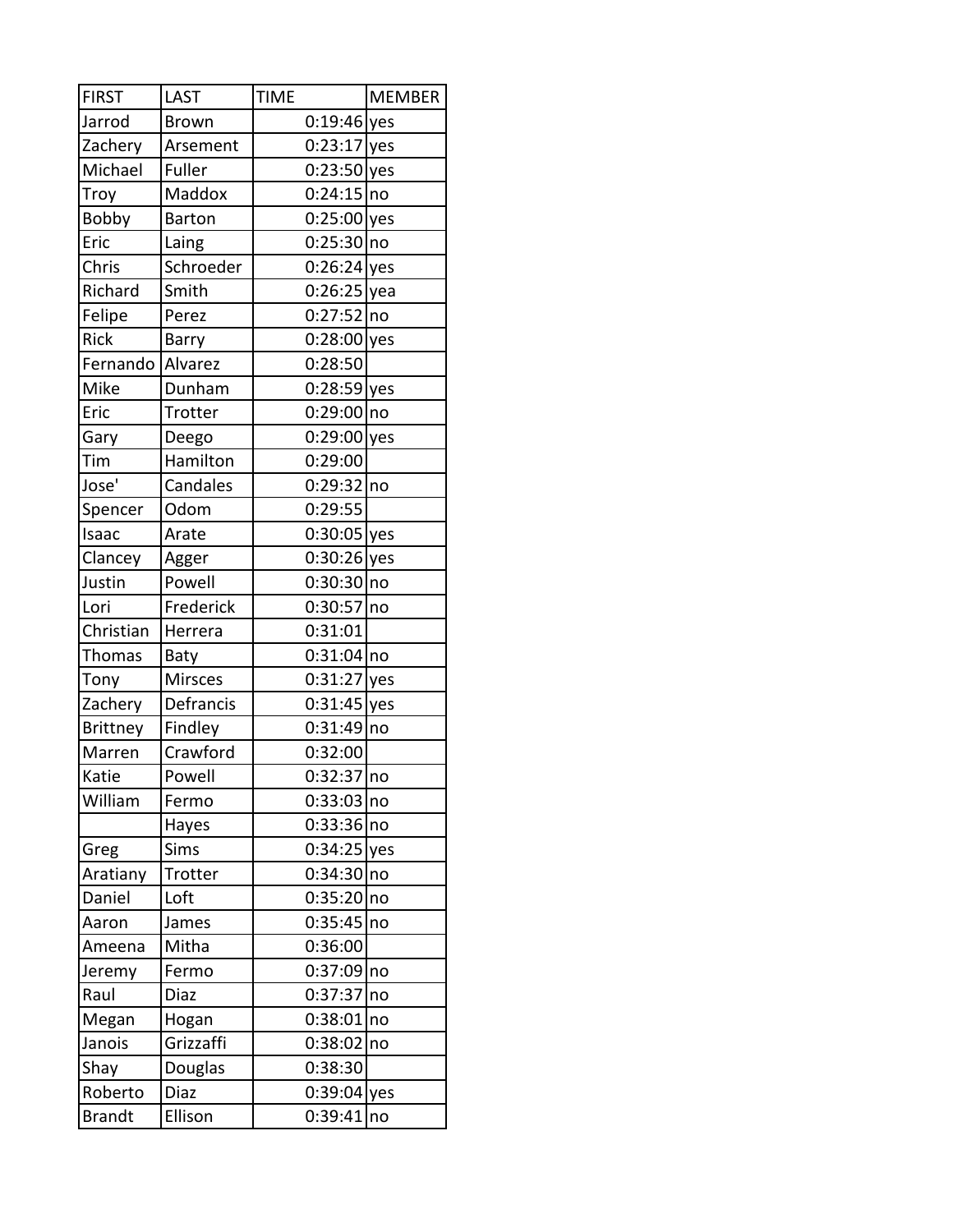| <b>FIRST</b>    | <b>LAST</b>    | <b>TIME</b>   | <b>MEMBER</b> |
|-----------------|----------------|---------------|---------------|
| Jarrod          | <b>Brown</b>   | $0:19:46$ yes |               |
| Zachery         | Arsement       | $0:23:17$ yes |               |
| Michael         | Fuller         | $0:23:50$ yes |               |
| Troy            | Maddox         | $0:24:15$ no  |               |
| Bobby           | <b>Barton</b>  | $0:25:00$ yes |               |
| Eric            | Laing          | $0:25:30$ no  |               |
| Chris           | Schroeder      | $0:26:24$ yes |               |
| Richard         | Smith          | $0:26:25$ yea |               |
| Felipe          | Perez          | 0:27:52 no    |               |
| Rick            | Barry          | $0:28:00$ yes |               |
| Fernando        | Alvarez        | 0:28:50       |               |
| Mike            | Dunham         | 0:28:59 yes   |               |
| Eric            | Trotter        | 0:29:00 no    |               |
| Gary            | Deego          | 0:29:00 yes   |               |
| Tim             | Hamilton       | 0:29:00       |               |
| Jose'           | Candales       | $0:29:32$ no  |               |
| Spencer         | Odom           | 0:29:55       |               |
| Isaac           | Arate          | $0:30:05$ yes |               |
| Clancey         | Agger          | $0:30:26$ yes |               |
| Justin          | Powell         | 0:30:30 no    |               |
| Lori            | Frederick      | 0:30:57       | no            |
| Christian       | Herrera        | 0:31:01       |               |
| <b>Thomas</b>   | Baty           | $0:31:04$ no  |               |
| Tony            | <b>Mirsces</b> | $0:31:27$ yes |               |
| Zachery         | Defrancis      | $0:31:45$ yes |               |
| <b>Brittney</b> | Findley        | $0:31:49$ no  |               |
| Marren          | Crawford       | 0:32:00       |               |
| Katie           | Powell         | $0:32:37$ no  |               |
| William         | Fermo          | $0:33:03$ no  |               |
|                 | Hayes          | 0:33:36 no    |               |
| Greg            | Sims           | $0:34:25$ yes |               |
| Aratiany        | Trotter        | $0:34:30$ no  |               |
| Daniel          | Loft           | 0:35:20 no    |               |
| Aaron           | James          | 0:35:45       | no            |
| Ameena          | Mitha          | 0:36:00       |               |
| Jeremy          | Fermo          | 0:37:09       | no            |
| Raul            | Diaz           | 0:37:37       | no            |
| Megan           | Hogan          | 0:38:01   no  |               |
| Janois          | Grizzaffi      | 0:38:02       | no            |
| Shay            | Douglas        | 0:38:30       |               |
| Roberto         | Diaz           | $0:39:04$ yes |               |
| <b>Brandt</b>   | Ellison        | 0:39:41       | no            |